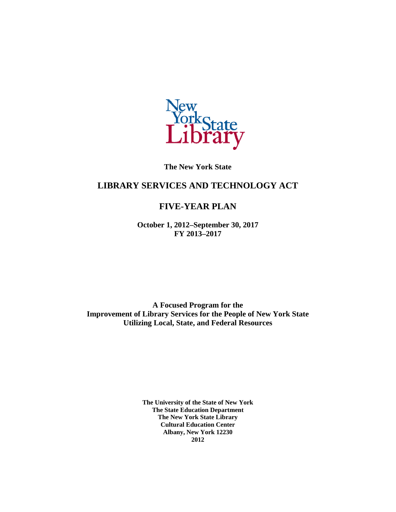

**The New York State** 

# **LIBRARY SERVICES AND TECHNOLOGY ACT**

# **FIVE-YEAR PLAN**

**October 1, 2012–September 30, 2017 FY 2013–2017** 

**A Focused Program for the Improvement of Library Services for the People of New York State Utilizing Local, State, and Federal Resources** 

> **The University of the State of New York The State Education Department The New York State Library Cultural Education Center Albany, New York 12230 2012**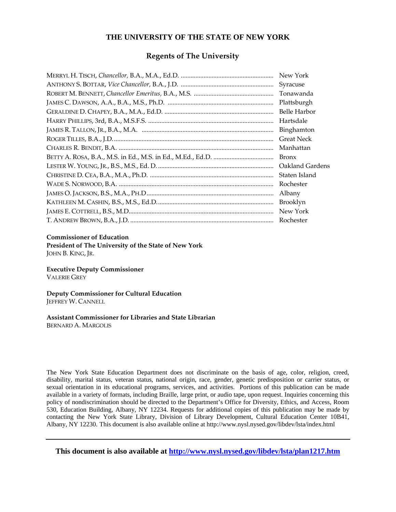#### **THE UNIVERSITY OF THE STATE OF NEW YORK**

#### **Regents of The University**

| New York          |
|-------------------|
| Syracuse          |
| Tonawanda         |
| Plattsburgh       |
| Belle Harbor      |
| Hartsdale         |
| Binghamton        |
| <b>Great Neck</b> |
| Manhattan         |
| <b>Bronx</b>      |
| Oakland Gardens   |
| Staten Island     |
| Rochester         |
| Albany            |
| Brooklyn          |
| New York          |
| Rochester         |

#### **Commissioner of Education**

**President of The University of the State of New York** JOHN B. KING, JR.

**Executive Deputy Commissioner**  VALERIE GREY

**Deputy Commissioner for Cultural Education**  JEFFREY W. CANNELL

# **Assistant Commissioner for Libraries and State Librarian**

BERNARD A. MARGOLIS

The New York State Education Department does not discriminate on the basis of age, color, religion, creed, disability, marital status, veteran status, national origin, race, gender, genetic predisposition or carrier status, or sexual orientation in its educational programs, services, and activities. Portions of this publication can be made available in a variety of formats, including Braille, large print, or audio tape, upon request. Inquiries concerning this policy of nondiscrimination should be directed to the Department's Office for Diversity, Ethics, and Access, Room 530, Education Building, Albany, NY 12234. Requests for additional copies of this publication may be made by contacting the New York State Library, Division of Library Development, Cultural Education Center 10B41, Albany, NY 12230. This document is also available online at http://www.nysl.nysed.gov/libdev/lsta/index.html

**This document is also available at<http://www.nysl.nysed.gov/libdev/lsta/plan1217.htm>**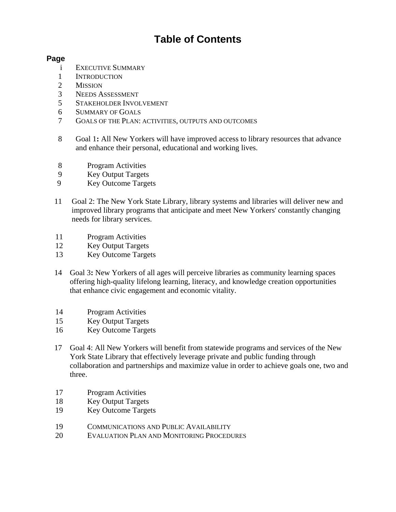# **Table of Contents**

#### **Page**

- i EXECUTIVE SUMMARY
- 1 INTRODUCTION
- 2 MISSION
- 3 NEEDS ASSESSMENT
- 5 STAKEHOLDER INVOLVEMENT
- 6 SUMMARY OF GOALS
- 7 GOALS OF THE PLAN: ACTIVITIES, OUTPUTS AND OUTCOMES
- 8 Goal 1**:** All New Yorkers will have improved access to library resources that advance and enhance their personal, educational and working lives.
- 8 Program Activities
- 9 Key Output Targets
- 9 Key Outcome Targets
- 11 Goal 2: The New York State Library, library systems and libraries will deliver new and improved library programs that anticipate and meet New Yorkers' constantly changing needs for library services.
- 11 Program Activities
- 12 Key Output Targets
- 13 Key Outcome Targets
- 14 Goal 3**:** New Yorkers of all ages will perceive libraries as community learning spaces offering high-quality lifelong learning, literacy, and knowledge creation opportunities that enhance civic engagement and economic vitality.
- 14 Program Activities
- 15 Key Output Targets
- 16 Key Outcome Targets
- 17 Goal 4: All New Yorkers will benefit from statewide programs and services of the New York State Library that effectively leverage private and public funding through collaboration and partnerships and maximize value in order to achieve goals one, two and three.
- 17 Program Activities
- 18 Key Output Targets
- 19 Key Outcome Targets
- 19 COMMUNICATIONS AND PUBLIC AVAILABILITY
- 20 EVALUATION PLAN AND MONITORING PROCEDURES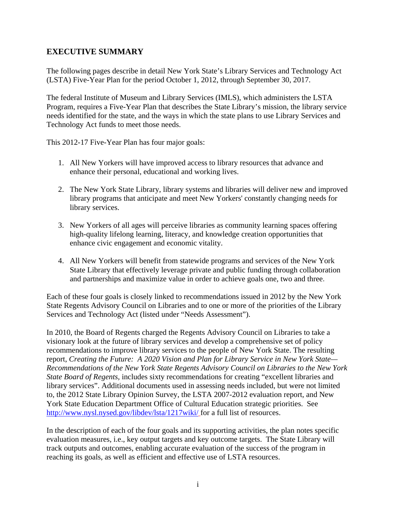# **EXECUTIVE SUMMARY**

The following pages describe in detail New York State's Library Services and Technology Act (LSTA) Five-Year Plan for the period October 1, 2012, through September 30, 2017.

The federal Institute of Museum and Library Services (IMLS), which administers the LSTA Program, requires a Five-Year Plan that describes the State Library's mission, the library service needs identified for the state, and the ways in which the state plans to use Library Services and Technology Act funds to meet those needs.

This 2012-17 Five-Year Plan has four major goals:

- 1. All New Yorkers will have improved access to library resources that advance and enhance their personal, educational and working lives.
- 2. The New York State Library, library systems and libraries will deliver new and improved library programs that anticipate and meet New Yorkers' constantly changing needs for library services.
- 3. New Yorkers of all ages will perceive libraries as community learning spaces offering high-quality lifelong learning, literacy, and knowledge creation opportunities that enhance civic engagement and economic vitality.
- 4. All New Yorkers will benefit from statewide programs and services of the New York State Library that effectively leverage private and public funding through collaboration and partnerships and maximize value in order to achieve goals one, two and three.

Each of these four goals is closely linked to recommendations issued in 2012 by the New York State Regents Advisory Council on Libraries and to one or more of the priorities of the Library Services and Technology Act (listed under "Needs Assessment").

In 2010, the Board of Regents charged the Regents Advisory Council on Libraries to take a visionary look at the future of library services and develop a comprehensive set of policy recommendations to improve library services to the people of New York State. The resulting report, *Creating the Future: A 2020 Vision and Plan for Library Service in New York State— Recommendations of the New York State Regents Advisory Council on Libraries to the New York State Board of Regents,* includes sixty recommendations for creating "excellent libraries and library services". Additional documents used in assessing needs included, but were not limited to, the 2012 State Library Opinion Survey, the LSTA 2007-2012 evaluation report, and New York State Education Department Office of Cultural Education strategic priorities. See <http://www.nysl.nysed.gov/libdev/lsta/1217wiki/> for a full list of resources.

In the description of each of the four goals and its supporting activities, the plan notes specific evaluation measures, i.e., key output targets and key outcome targets. The State Library will track outputs and outcomes, enabling accurate evaluation of the success of the program in reaching its goals, as well as efficient and effective use of LSTA resources.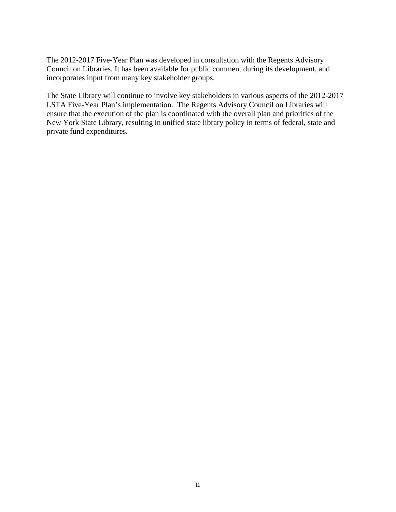The 2012-2017 Five-Year Plan was developed in consultation with the Regents Advisory Council on Libraries. It has been available for public comment during its development, and incorporates input from many key stakeholder groups.

The State Library will continue to involve key stakeholders in various aspects of the 2012-2017 LSTA Five-Year Plan's implementation. The Regents Advisory Council on Libraries will ensure that the execution of the plan is coordinated with the overall plan and priorities of the New York State Library, resulting in unified state library policy in terms of federal, state and private fund expenditures.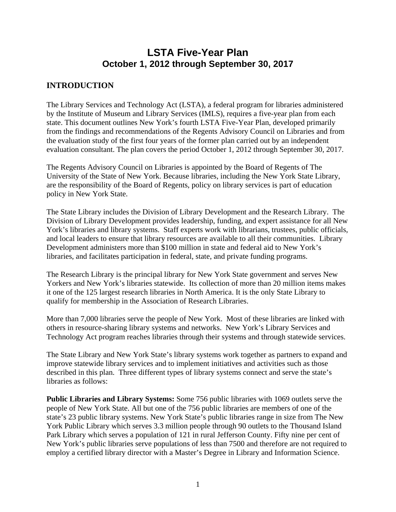# **LSTA Five-Year Plan October 1, 2012 through September 30, 2017**

# **INTRODUCTION**

The Library Services and Technology Act (LSTA), a federal program for libraries administered by the Institute of Museum and Library Services (IMLS), requires a five-year plan from each state. This document outlines New York's fourth LSTA Five-Year Plan, developed primarily from the findings and recommendations of the Regents Advisory Council on Libraries and from the evaluation study of the first four years of the former plan carried out by an independent evaluation consultant. The plan covers the period October 1, 2012 through September 30, 2017.

The Regents Advisory Council on Libraries is appointed by the Board of Regents of The University of the State of New York. Because libraries, including the New York State Library, are the responsibility of the Board of Regents, policy on library services is part of education policy in New York State.

The State Library includes the Division of Library Development and the Research Library. The Division of Library Development provides leadership, funding, and expert assistance for all New York's libraries and library systems. Staff experts work with librarians, trustees, public officials, and local leaders to ensure that library resources are available to all their communities. Library Development administers more than \$100 million in state and federal aid to New York's libraries, and facilitates participation in federal, state, and private funding programs.

The Research Library is the principal library for New York State government and serves New Yorkers and New York's libraries statewide. Its collection of more than 20 million items makes it one of the 125 largest research libraries in North America. It is the only State Library to qualify for membership in the Association of Research Libraries.

More than 7,000 libraries serve the people of New York. Most of these libraries are linked with others in resource-sharing library systems and networks. New York's Library Services and Technology Act program reaches libraries through their systems and through statewide services.

The State Library and New York State's library systems work together as partners to expand and improve statewide library services and to implement initiatives and activities such as those described in this plan. Three different types of library systems connect and serve the state's libraries as follows:

**Public Libraries and Library Systems:** Some 756 public libraries with 1069 outlets serve the people of New York State. All but one of the 756 public libraries are members of one of the state's 23 public library systems. New York State's public libraries range in size from The New York Public Library which serves 3.3 million people through 90 outlets to the Thousand Island Park Library which serves a population of 121 in rural Jefferson County. Fifty nine per cent of New York's public libraries serve populations of less than 7500 and therefore are not required to employ a certified library director with a Master's Degree in Library and Information Science.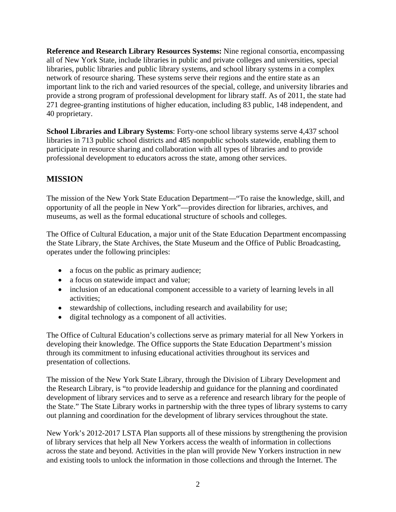**Reference and Research Library Resources Systems:** Nine regional consortia, encompassing all of New York State, include libraries in public and private colleges and universities, special libraries, public libraries and public library systems, and school library systems in a complex network of resource sharing. These systems serve their regions and the entire state as an important link to the rich and varied resources of the special, college, and university libraries and provide a strong program of professional development for library staff. As of 2011, the state had 271 degree-granting institutions of higher education, including 83 public, 148 independent, and 40 proprietary.

**School Libraries and Library Systems**: Forty-one school library systems serve 4,437 school libraries in 713 public school districts and 485 nonpublic schools statewide, enabling them to participate in resource sharing and collaboration with all types of libraries and to provide professional development to educators across the state, among other services.

# **MISSION**

The mission of the New York State Education Department—"To raise the knowledge, skill, and opportunity of all the people in New York"—provides direction for libraries, archives, and museums, as well as the formal educational structure of schools and colleges.

The Office of Cultural Education, a major unit of the State Education Department encompassing the State Library, the State Archives, the State Museum and the Office of Public Broadcasting, operates under the following principles:

- a focus on the public as primary audience;
- a focus on statewide impact and value;
- inclusion of an educational component accessible to a variety of learning levels in all activities;
- stewardship of collections, including research and availability for use;
- digital technology as a component of all activities.

The Office of Cultural Education's collections serve as primary material for all New Yorkers in developing their knowledge. The Office supports the State Education Department's mission through its commitment to infusing educational activities throughout its services and presentation of collections.

The mission of the New York State Library, through the Division of Library Development and the Research Library, is "to provide leadership and guidance for the planning and coordinated development of library services and to serve as a reference and research library for the people of the State." The State Library works in partnership with the three types of library systems to carry out planning and coordination for the development of library services throughout the state.

New York's 2012-2017 LSTA Plan supports all of these missions by strengthening the provision of library services that help all New Yorkers access the wealth of information in collections across the state and beyond. Activities in the plan will provide New Yorkers instruction in new and existing tools to unlock the information in those collections and through the Internet. The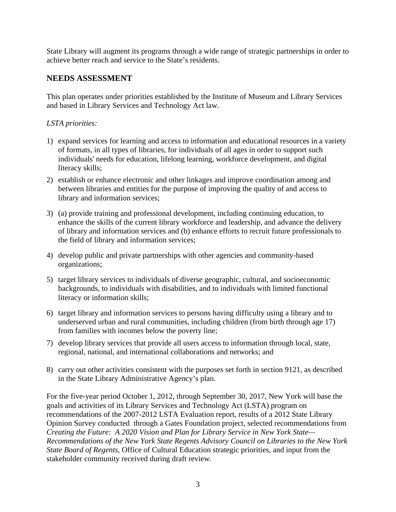State Library will augment its programs through a wide range of strategic partnerships in order to achieve better reach and service to the State's residents.

# **NEEDS ASSESSMENT**

This plan operates under priorities established by the Institute of Museum and Library Services and based in Library Services and Technology Act law.

#### *LSTA priorities:*

- 1) expand services for learning and access to information and educational resources in a variety of formats, in all types of libraries, for individuals of all ages in order to support such individuals' needs for education, lifelong learning, workforce development, and digital literacy skills;
- 2) establish or enhance electronic and other linkages and improve coordination among and between libraries and entities for the purpose of improving the quality of and access to library and information services;
- 3) (a) provide training and professional development, including continuing education, to enhance the skills of the current library workforce and leadership, and advance the delivery of library and information services and (b) enhance efforts to recruit future professionals to the field of library and information services;
- 4) develop public and private partnerships with other agencies and community-based organizations;
- 5) target library services to individuals of diverse geographic, cultural, and socioeconomic backgrounds, to individuals with disabilities, and to individuals with limited functional literacy or information skills;
- 6) target library and information services to persons having difficulty using a library and to underserved urban and rural communities, including children (from birth through age 17) from families with incomes below the poverty line;
- 7) develop library services that provide all users access to information through local, state, regional, national, and international collaborations and networks; and
- 8) carry out other activities consistent with the purposes set forth in section 9121, as described in the State Library Administrative Agency's plan.

For the five-year period October 1, 2012, through September 30, 2017, New York will base the goals and activities of its Library Services and Technology Act (LSTA) program on recommendations of the 2007-2012 LSTA Evaluation report, results of a 2012 State Library Opinion Survey conducted through a Gates Foundation project, selected recommendations from *Creating the Future: A 2020 Vision and Plan for Library Service in New York State— Recommendations of the New York State Regents Advisory Council on Libraries to the New York State Board of Regents*, Office of Cultural Education strategic priorities, and input from the stakeholder community received during draft review.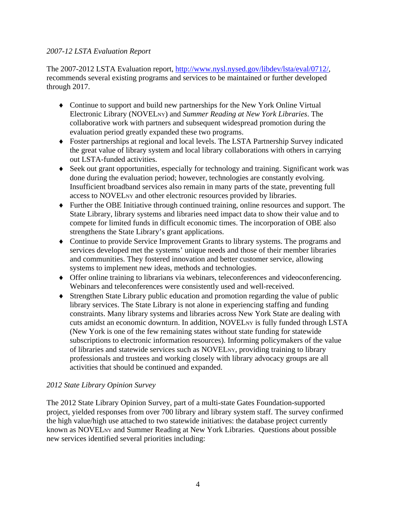#### *2007-12 LSTA Evaluation Report*

The 2007-2012 LSTA Evaluation report,<http://www.nysl.nysed.gov/libdev/lsta/eval/0712/>, recommends several existing programs and services to be maintained or further developed through 2017.

- ♦ Continue to support and build new partnerships for the New York Online Virtual Electronic Library (NOVELNY) and *Summer Reading at New York Libraries*. The collaborative work with partners and subsequent widespread promotion during the evaluation period greatly expanded these two programs.
- ♦ Foster partnerships at regional and local levels. The LSTA Partnership Survey indicated the great value of library system and local library collaborations with others in carrying out LSTA-funded activities.
- ♦ Seek out grant opportunities, especially for technology and training. Significant work was done during the evaluation period; however, technologies are constantly evolving. Insufficient broadband services also remain in many parts of the state, preventing full access to NOVELNY and other electronic resources provided by libraries.
- ♦ Further the OBE Initiative through continued training, online resources and support. The State Library, library systems and libraries need impact data to show their value and to compete for limited funds in difficult economic times. The incorporation of OBE also strengthens the State Library's grant applications.
- ♦ Continue to provide Service Improvement Grants to library systems. The programs and services developed met the systems' unique needs and those of their member libraries and communities. They fostered innovation and better customer service, allowing systems to implement new ideas, methods and technologies.
- ♦ Offer online training to librarians via webinars, teleconferences and videoconferencing. Webinars and teleconferences were consistently used and well-received.
- ♦ Strengthen State Library public education and promotion regarding the value of public library services. The State Library is not alone in experiencing staffing and funding constraints. Many library systems and libraries across New York State are dealing with cuts amidst an economic downturn. In addition, NOVELNY is fully funded through LSTA (New York is one of the few remaining states without state funding for statewide subscriptions to electronic information resources). Informing policymakers of the value of libraries and statewide services such as NOVELNY, providing training to library professionals and trustees and working closely with library advocacy groups are all activities that should be continued and expanded.

#### *2012 State Library Opinion Survey*

The 2012 State Library Opinion Survey, part of a multi-state Gates Foundation-supported project, yielded responses from over 700 library and library system staff. The survey confirmed the high value/high use attached to two statewide initiatives: the database project currently known as NOVELNY and Summer Reading at New York Libraries. Questions about possible new services identified several priorities including: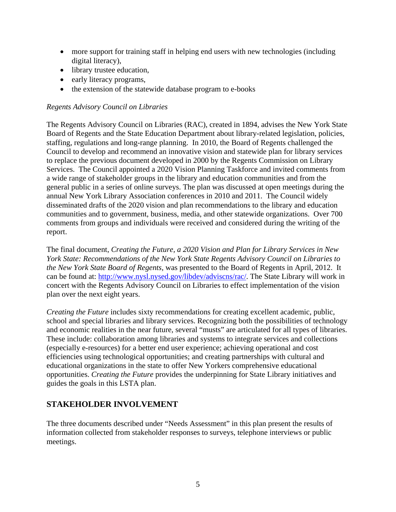- more support for training staff in helping end users with new technologies (including digital literacy),
- library trustee education,
- early literacy programs,
- the extension of the statewide database program to e-books

#### *Regents Advisory Council on Libraries*

The Regents Advisory Council on Libraries (RAC), created in 1894, advises the New York State Board of Regents and the State Education Department about library-related legislation, policies, staffing, regulations and long-range planning. In 2010, the Board of Regents challenged the Council to develop and recommend an innovative vision and statewide plan for library services to replace the previous document developed in 2000 by the Regents Commission on Library Services. The Council appointed a 2020 Vision Planning Taskforce and invited comments from a wide range of stakeholder groups in the library and education communities and from the general public in a series of online surveys. The plan was discussed at open meetings during the annual New York Library Association conferences in 2010 and 2011. The Council widely disseminated drafts of the 2020 vision and plan recommendations to the library and education communities and to government, business, media, and other statewide organizations. Over 700 comments from groups and individuals were received and considered during the writing of the report.

The final document, *Creating the Future, a 2020 Vision and Plan for Library Services in New York State: Recommendations of the New York State Regents Advisory Council on Libraries to the New York State Board of Regents,* was presented to the Board of Regents in April, 2012. It can be found at: [http://www.nysl.nysed.gov/libdev/adviscns/rac/.](http://www.nysl.nysed.gov/libdev/adviscns/rac/) The State Library will work in concert with the Regents Advisory Council on Libraries to effect implementation of the vision plan over the next eight years.

*Creating the Future* includes sixty recommendations for creating excellent academic, public, school and special libraries and library services. Recognizing both the possibilities of technology and economic realities in the near future, several "musts" are articulated for all types of libraries. These include: collaboration among libraries and systems to integrate services and collections (especially e-resources) for a better end user experience; achieving operational and cost efficiencies using technological opportunities; and creating partnerships with cultural and educational organizations in the state to offer New Yorkers comprehensive educational opportunities. *Creating the Future* provides the underpinning for State Library initiatives and guides the goals in this LSTA plan.

#### **STAKEHOLDER INVOLVEMENT**

The three documents described under "Needs Assessment" in this plan present the results of information collected from stakeholder responses to surveys, telephone interviews or public meetings.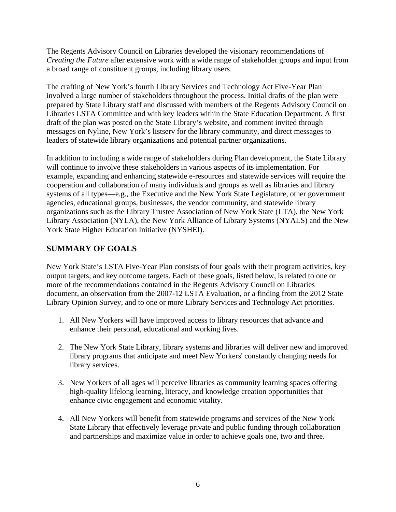The Regents Advisory Council on Libraries developed the visionary recommendations of *Creating the Future* after extensive work with a wide range of stakeholder groups and input from a broad range of constituent groups, including library users.

The crafting of New York's fourth Library Services and Technology Act Five-Year Plan involved a large number of stakeholders throughout the process. Initial drafts of the plan were prepared by State Library staff and discussed with members of the Regents Advisory Council on Libraries LSTA Committee and with key leaders within the State Education Department. A first draft of the plan was posted on the State Library's website, and comment invited through messages on Nyline, New York's listserv for the library community, and direct messages to leaders of statewide library organizations and potential partner organizations.

In addition to including a wide range of stakeholders during Plan development, the State Library will continue to involve these stakeholders in various aspects of its implementation. For example, expanding and enhancing statewide e-resources and statewide services will require the cooperation and collaboration of many individuals and groups as well as libraries and library systems of all types—e.g., the Executive and the New York State Legislature, other government agencies, educational groups, businesses, the vendor community, and statewide library organizations such as the Library Trustee Association of New York State (LTA), the New York Library Association (NYLA), the New York Alliance of Library Systems (NYALS) and the New York State Higher Education Initiative (NYSHEI).

# **SUMMARY OF GOALS**

New York State's LSTA Five-Year Plan consists of four goals with their program activities, key output targets, and key outcome targets. Each of these goals, listed below, is related to one or more of the recommendations contained in the Regents Advisory Council on Libraries document, an observation from the 2007-12 LSTA Evaluation, or a finding from the 2012 State Library Opinion Survey, and to one or more Library Services and Technology Act priorities.

- 1. All New Yorkers will have improved access to library resources that advance and enhance their personal, educational and working lives.
- 2. The New York State Library, library systems and libraries will deliver new and improved library programs that anticipate and meet New Yorkers' constantly changing needs for library services.
- 3. New Yorkers of all ages will perceive libraries as community learning spaces offering high-quality lifelong learning, literacy, and knowledge creation opportunities that enhance civic engagement and economic vitality.
- 4. All New Yorkers will benefit from statewide programs and services of the New York State Library that effectively leverage private and public funding through collaboration and partnerships and maximize value in order to achieve goals one, two and three.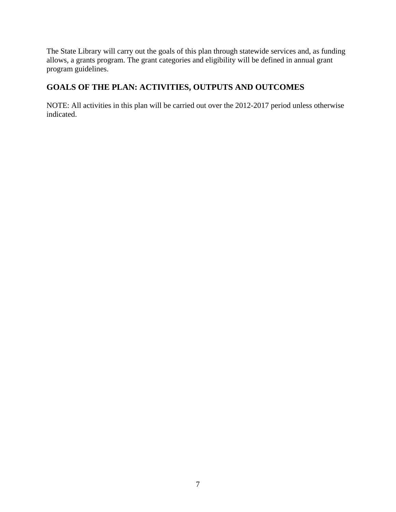The State Library will carry out the goals of this plan through statewide services and, as funding allows, a grants program. The grant categories and eligibility will be defined in annual grant program guidelines.

# **GOALS OF THE PLAN: ACTIVITIES, OUTPUTS AND OUTCOMES**

NOTE: All activities in this plan will be carried out over the 2012-2017 period unless otherwise indicated.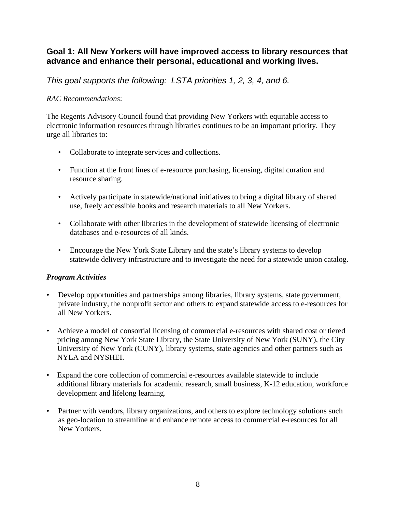# **Goal 1: All New Yorkers will have improved access to library resources that advance and enhance their personal, educational and working lives.**

*This goal supports the following: LSTA priorities 1, 2, 3, 4, and 6.* 

#### *RAC Recommendations*:

The Regents Advisory Council found that providing New Yorkers with equitable access to electronic information resources through libraries continues to be an important priority. They urge all libraries to:

- Collaborate to integrate services and collections.
- Function at the front lines of e-resource purchasing, licensing, digital curation and resource sharing.
- Actively participate in statewide/national initiatives to bring a digital library of shared use, freely accessible books and research materials to all New Yorkers.
- Collaborate with other libraries in the development of statewide licensing of electronic databases and e-resources of all kinds.
- Encourage the New York State Library and the state's library systems to develop statewide delivery infrastructure and to investigate the need for a statewide union catalog.

#### *Program Activities*

- Develop opportunities and partnerships among libraries, library systems, state government, private industry, the nonprofit sector and others to expand statewide access to e-resources for all New Yorkers.
- Achieve a model of consortial licensing of commercial e-resources with shared cost or tiered pricing among New York State Library, the State University of New York (SUNY), the City University of New York (CUNY), library systems, state agencies and other partners such as NYLA and NYSHEI.
- Expand the core collection of commercial e-resources available statewide to include additional library materials for academic research, small business, K-12 education, workforce development and lifelong learning.
- Partner with vendors, library organizations, and others to explore technology solutions such as geo-location to streamline and enhance remote access to commercial e-resources for all New Yorkers.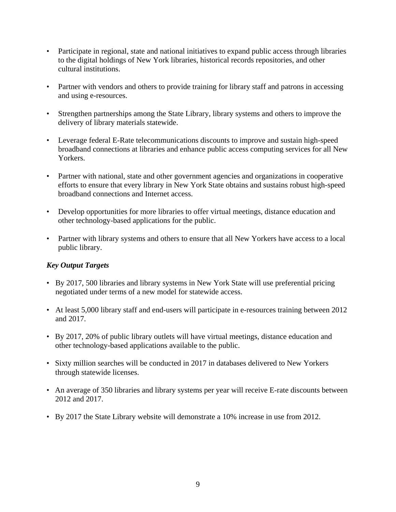- Participate in regional, state and national initiatives to expand public access through libraries to the digital holdings of New York libraries, historical records repositories, and other cultural institutions.
- Partner with vendors and others to provide training for library staff and patrons in accessing and using e-resources.
- Strengthen partnerships among the State Library, library systems and others to improve the delivery of library materials statewide.
- Leverage federal E-Rate telecommunications discounts to improve and sustain high-speed broadband connections at libraries and enhance public access computing services for all New Yorkers.
- Partner with national, state and other government agencies and organizations in cooperative efforts to ensure that every library in New York State obtains and sustains robust high-speed broadband connections and Internet access.
- Develop opportunities for more libraries to offer virtual meetings, distance education and other technology-based applications for the public.
- Partner with library systems and others to ensure that all New Yorkers have access to a local public library.

#### *Key Output Targets*

- By 2017, 500 libraries and library systems in New York State will use preferential pricing negotiated under terms of a new model for statewide access.
- At least 5,000 library staff and end-users will participate in e-resources training between 2012 and 2017.
- By 2017, 20% of public library outlets will have virtual meetings, distance education and other technology-based applications available to the public.
- Sixty million searches will be conducted in 2017 in databases delivered to New Yorkers through statewide licenses.
- An average of 350 libraries and library systems per year will receive E-rate discounts between 2012 and 2017.
- By 2017 the State Library website will demonstrate a 10% increase in use from 2012.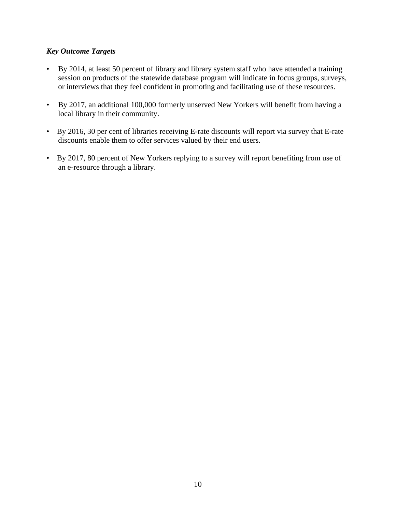#### *Key Outcome Targets*

- By 2014, at least 50 percent of library and library system staff who have attended a training session on products of the statewide database program will indicate in focus groups, surveys, or interviews that they feel confident in promoting and facilitating use of these resources.
- By 2017, an additional 100,000 formerly unserved New Yorkers will benefit from having a local library in their community.
- By 2016, 30 per cent of libraries receiving E-rate discounts will report via survey that E-rate discounts enable them to offer services valued by their end users.
- By 2017, 80 percent of New Yorkers replying to a survey will report benefiting from use of an e-resource through a library.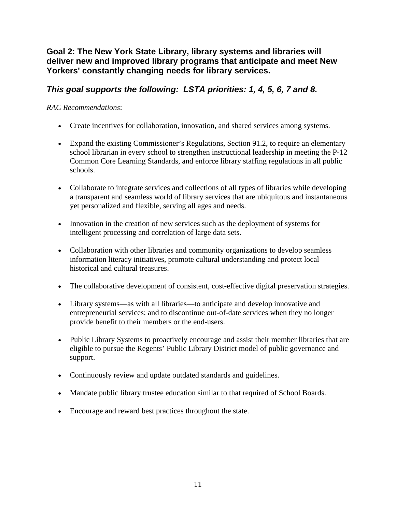# **Goal 2: The New York State Library, library systems and libraries will deliver new and improved library programs that anticipate and meet New Yorkers' constantly changing needs for library services.**

# *This goal supports the following: LSTA priorities: 1, 4, 5, 6, 7 and 8.*

#### *RAC Recommendations*:

- Create incentives for collaboration, innovation, and shared services among systems.
- Expand the existing Commissioner's Regulations, Section 91.2, to require an elementary school librarian in every school to strengthen instructional leadership in meeting the P-12 Common Core Learning Standards, and enforce library staffing regulations in all public schools.
- Collaborate to integrate services and collections of all types of libraries while developing a transparent and seamless world of library services that are ubiquitous and instantaneous yet personalized and flexible, serving all ages and needs.
- Innovation in the creation of new services such as the deployment of systems for intelligent processing and correlation of large data sets.
- Collaboration with other libraries and community organizations to develop seamless information literacy initiatives, promote cultural understanding and protect local historical and cultural treasures.
- The collaborative development of consistent, cost-effective digital preservation strategies.
- Library systems—as with all libraries—to anticipate and develop innovative and entrepreneurial services; and to discontinue out-of-date services when they no longer provide benefit to their members or the end-users.
- Public Library Systems to proactively encourage and assist their member libraries that are eligible to pursue the Regents' Public Library District model of public governance and support.
- Continuously review and update outdated standards and guidelines.
- Mandate public library trustee education similar to that required of School Boards.
- Encourage and reward best practices throughout the state.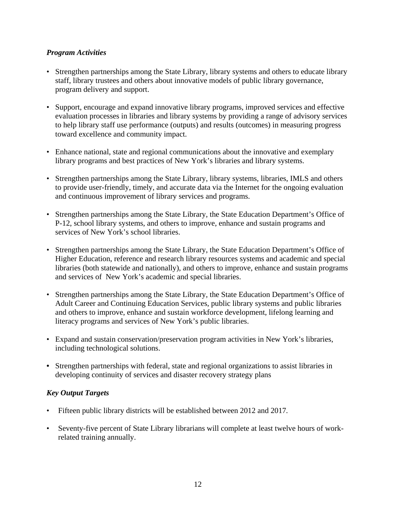#### *Program Activities*

- Strengthen partnerships among the State Library, library systems and others to educate library staff, library trustees and others about innovative models of public library governance, program delivery and support.
- Support, encourage and expand innovative library programs, improved services and effective evaluation processes in libraries and library systems by providing a range of advisory services to help library staff use performance (outputs) and results (outcomes) in measuring progress toward excellence and community impact.
- Enhance national, state and regional communications about the innovative and exemplary library programs and best practices of New York's libraries and library systems.
- Strengthen partnerships among the State Library, library systems, libraries, IMLS and others to provide user-friendly, timely, and accurate data via the Internet for the ongoing evaluation and continuous improvement of library services and programs.
- Strengthen partnerships among the State Library, the State Education Department's Office of P-12, school library systems, and others to improve, enhance and sustain programs and services of New York's school libraries.
- Strengthen partnerships among the State Library, the State Education Department's Office of Higher Education, reference and research library resources systems and academic and special libraries (both statewide and nationally), and others to improve, enhance and sustain programs and services of New York's academic and special libraries.
- Strengthen partnerships among the State Library, the State Education Department's Office of Adult Career and Continuing Education Services, public library systems and public libraries and others to improve, enhance and sustain workforce development, lifelong learning and literacy programs and services of New York's public libraries.
- Expand and sustain conservation/preservation program activities in New York's libraries, including technological solutions.
- **•** Strengthen partnerships with federal, state and regional organizations to assist libraries in developing continuity of services and disaster recovery strategy plans

#### *Key Output Targets*

- Fifteen public library districts will be established between 2012 and 2017*.*
- Seventy-five percent of State Library librarians will complete at least twelve hours of workrelated training annually.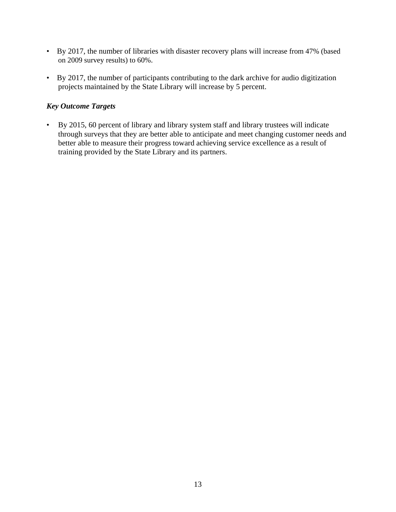- By 2017, the number of libraries with disaster recovery plans will increase from 47% (based on 2009 survey results) to 60%.
- By 2017, the number of participants contributing to the dark archive for audio digitization projects maintained by the State Library will increase by 5 percent.

#### *Key Outcome Targets*

• By 2015, 60 percent of library and library system staff and library trustees will indicate through surveys that they are better able to anticipate and meet changing customer needs and better able to measure their progress toward achieving service excellence as a result of training provided by the State Library and its partners.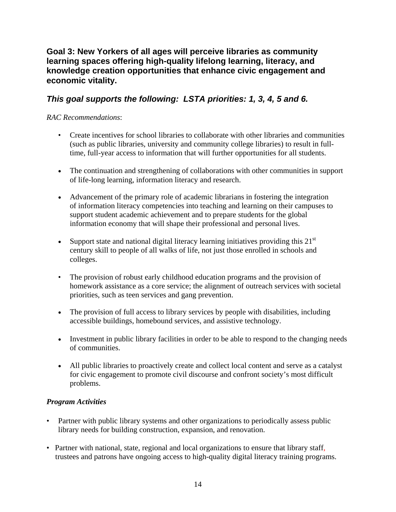# **Goal 3: New Yorkers of all ages will perceive libraries as community learning spaces offering high-quality lifelong learning, literacy, and knowledge creation opportunities that enhance civic engagement and economic vitality.**

# *This goal supports the following: LSTA priorities: 1, 3, 4, 5 and 6.*

#### *RAC Recommendations*:

- Create incentives for school libraries to collaborate with other libraries and communities (such as public libraries, university and community college libraries) to result in fulltime, full-year access to information that will further opportunities for all students.
- The continuation and strengthening of collaborations with other communities in support of life-long learning, information literacy and research.
- Advancement of the primary role of academic librarians in fostering the integration of information literacy competencies into teaching and learning on their campuses to support student academic achievement and to prepare students for the global information economy that will shape their professional and personal lives.
- Support state and national digital literacy learning initiatives providing this  $21<sup>st</sup>$ century skill to people of all walks of life, not just those enrolled in schools and colleges.
- The provision of robust early childhood education programs and the provision of homework assistance as a core service; the alignment of outreach services with societal priorities, such as teen services and gang prevention.
- The provision of full access to library services by people with disabilities, including accessible buildings, homebound services, and assistive technology.
- Investment in public library facilities in order to be able to respond to the changing needs of communities.
- All public libraries to proactively create and collect local content and serve as a catalyst for civic engagement to promote civil discourse and confront society's most difficult problems.

#### *Program Activities*

- Partner with public library systems and other organizations to periodically assess public library needs for building construction, expansion, and renovation.
- Partner with national, state, regional and local organizations to ensure that library staff, trustees and patrons have ongoing access to high-quality digital literacy training programs.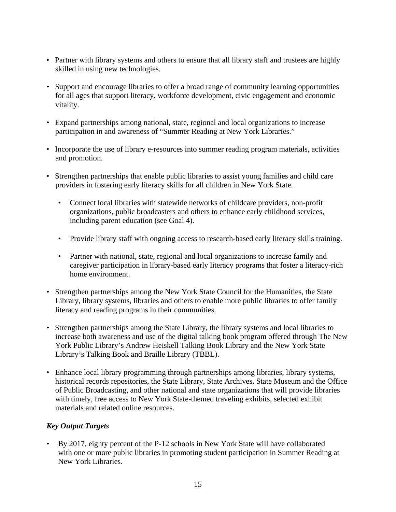- Partner with library systems and others to ensure that all library staff and trustees are highly skilled in using new technologies.
- Support and encourage libraries to offer a broad range of community learning opportunities for all ages that support literacy, workforce development, civic engagement and economic vitality.
- Expand partnerships among national, state, regional and local organizations to increase participation in and awareness of "Summer Reading at New York Libraries."
- Incorporate the use of library e-resources into summer reading program materials, activities and promotion.
- Strengthen partnerships that enable public libraries to assist young families and child care providers in fostering early literacy skills for all children in New York State.
	- Connect local libraries with statewide networks of childcare providers, non-profit organizations, public broadcasters and others to enhance early childhood services, including parent education (see Goal 4).
	- Provide library staff with ongoing access to research-based early literacy skills training.
	- Partner with national, state, regional and local organizations to increase family and caregiver participation in library-based early literacy programs that foster a literacy-rich home environment.
- Strengthen partnerships among the New York State Council for the Humanities, the State Library, library systems, libraries and others to enable more public libraries to offer family literacy and reading programs in their communities.
- Strengthen partnerships among the State Library, the library systems and local libraries to increase both awareness and use of the digital talking book program offered through The New York Public Library's Andrew Heiskell Talking Book Library and the New York State Library's Talking Book and Braille Library (TBBL).
- Enhance local library programming through partnerships among libraries, library systems, historical records repositories, the State Library, State Archives, State Museum and the Office of Public Broadcasting, and other national and state organizations that will provide libraries with timely, free access to New York State-themed traveling exhibits, selected exhibit materials and related online resources.

#### *Key Output Targets*

• By 2017, eighty percent of the P-12 schools in New York State will have collaborated with one or more public libraries in promoting student participation in Summer Reading at New York Libraries.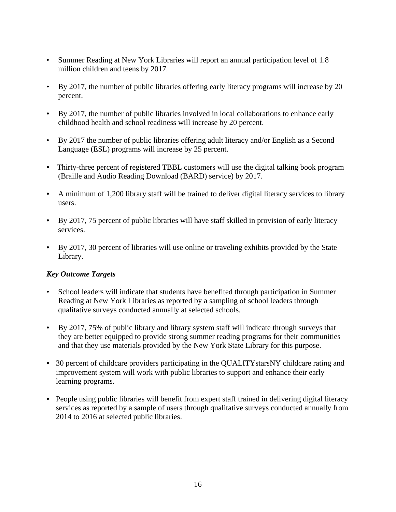- Summer Reading at New York Libraries will report an annual participation level of 1.8 million children and teens by 2017.
- By 2017, the number of public libraries offering early literacy programs will increase by 20 percent.
- By 2017, the number of public libraries involved in local collaborations to enhance early childhood health and school readiness will increase by 20 percent.
- By 2017 the number of public libraries offering adult literacy and/or English as a Second Language (ESL) programs will increase by 25 percent.
- Thirty-three percent of registered TBBL customers will use the digital talking book program (Braille and Audio Reading Download (BARD) service) by 2017.
- A minimum of 1,200 library staff will be trained to deliver digital literacy services to library users.
- By 2017, 75 percent of public libraries will have staff skilled in provision of early literacy services.
- By 2017, 30 percent of libraries will use online or traveling exhibits provided by the State Library.

#### *Key Outcome Targets*

- School leaders will indicate that students have benefited through participation in Summer Reading at New York Libraries as reported by a sampling of school leaders through qualitative surveys conducted annually at selected schools.
- By 2017, 75% of public library and library system staff will indicate through surveys that they are better equipped to provide strong summer reading programs for their communities and that they use materials provided by the New York State Library for this purpose.
- 30 percent of childcare providers participating in the QUALITY stars NY childcare rating and improvement system will work with public libraries to support and enhance their early learning programs.
- People using public libraries will benefit from expert staff trained in delivering digital literacy services as reported by a sample of users through qualitative surveys conducted annually from 2014 to 2016 at selected public libraries.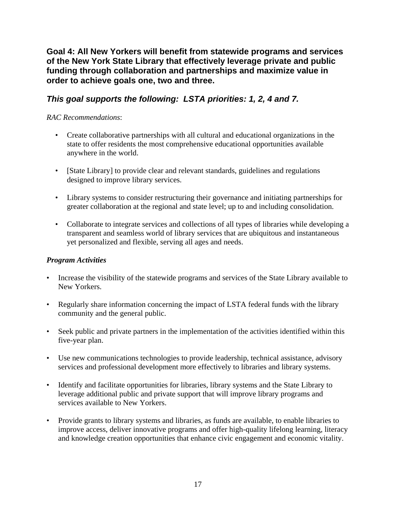**Goal 4: All New Yorkers will benefit from statewide programs and services of the New York State Library that effectively leverage private and public funding through collaboration and partnerships and maximize value in order to achieve goals one, two and three.** 

# *This goal supports the following: LSTA priorities: 1, 2, 4 and 7.*

#### *RAC Recommendations*:

- Create collaborative partnerships with all cultural and educational organizations in the state to offer residents the most comprehensive educational opportunities available anywhere in the world.
- [State Library] to provide clear and relevant standards, guidelines and regulations designed to improve library services.
- Library systems to consider restructuring their governance and initiating partnerships for greater collaboration at the regional and state level; up to and including consolidation.
- Collaborate to integrate services and collections of all types of libraries while developing a transparent and seamless world of library services that are ubiquitous and instantaneous yet personalized and flexible, serving all ages and needs.

#### *Program Activities*

- Increase the visibility of the statewide programs and services of the State Library available to New Yorkers.
- Regularly share information concerning the impact of LSTA federal funds with the library community and the general public.
- Seek public and private partners in the implementation of the activities identified within this five-year plan.
- Use new communications technologies to provide leadership, technical assistance, advisory services and professional development more effectively to libraries and library systems.
- Identify and facilitate opportunities for libraries, library systems and the State Library to leverage additional public and private support that will improve library programs and services available to New Yorkers.
- Provide grants to library systems and libraries, as funds are available, to enable libraries to improve access, deliver innovative programs and offer high-quality lifelong learning, literacy and knowledge creation opportunities that enhance civic engagement and economic vitality.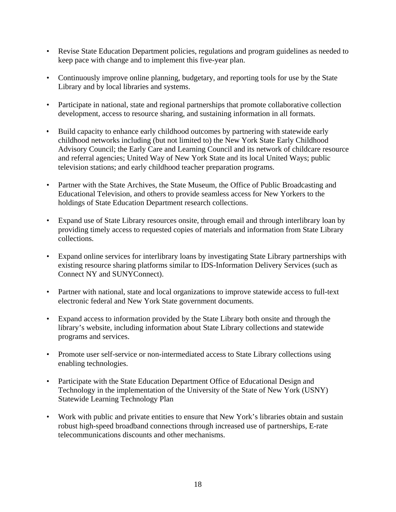- Revise State Education Department policies, regulations and program guidelines as needed to keep pace with change and to implement this five-year plan.
- Continuously improve online planning, budgetary, and reporting tools for use by the State Library and by local libraries and systems.
- Participate in national, state and regional partnerships that promote collaborative collection development, access to resource sharing, and sustaining information in all formats.
- Build capacity to enhance early childhood outcomes by partnering with statewide early childhood networks including (but not limited to) the New York State Early Childhood Advisory Council; the Early Care and Learning Council and its network of childcare resource and referral agencies; United Way of New York State and its local United Ways; public television stations; and early childhood teacher preparation programs.
- Partner with the State Archives, the State Museum, the Office of Public Broadcasting and Educational Television, and others to provide seamless access for New Yorkers to the holdings of State Education Department research collections.
- Expand use of State Library resources onsite, through email and through interlibrary loan by providing timely access to requested copies of materials and information from State Library collections.
- Expand online services for interlibrary loans by investigating State Library partnerships with existing resource sharing platforms similar to IDS-Information Delivery Services (such as Connect NY and SUNYConnect).
- Partner with national, state and local organizations to improve statewide access to full-text electronic federal and New York State government documents.
- Expand access to information provided by the State Library both onsite and through the library's website, including information about State Library collections and statewide programs and services.
- Promote user self-service or non-intermediated access to State Library collections using enabling technologies.
- Participate with the State Education Department Office of Educational Design and Technology in the implementation of the University of the State of New York (USNY) Statewide Learning Technology Plan
- Work with public and private entities to ensure that New York's libraries obtain and sustain robust high-speed broadband connections through increased use of partnerships, E-rate telecommunications discounts and other mechanisms.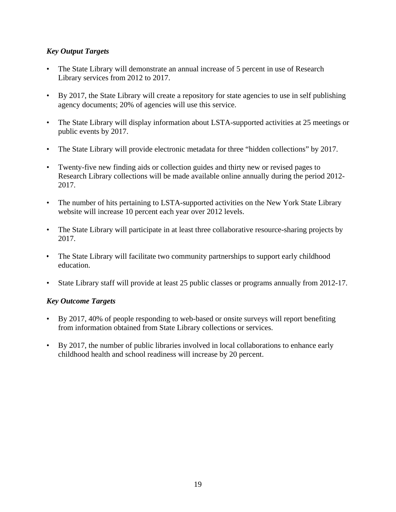#### *Key Output Targets*

- The State Library will demonstrate an annual increase of 5 percent in use of Research Library services from 2012 to 2017.
- By 2017, the State Library will create a repository for state agencies to use in self publishing agency documents; 20% of agencies will use this service.
- The State Library will display information about LSTA-supported activities at 25 meetings or public events by 2017.
- The State Library will provide electronic metadata for three "hidden collections" by 2017.
- Twenty-five new finding aids or collection guides and thirty new or revised pages to Research Library collections will be made available online annually during the period 2012- 2017.
- The number of hits pertaining to LSTA-supported activities on the New York State Library website will increase 10 percent each year over 2012 levels.
- The State Library will participate in at least three collaborative resource-sharing projects by 2017.
- The State Library will facilitate two community partnerships to support early childhood education.
- State Library staff will provide at least 25 public classes or programs annually from 2012-17.

#### *Key Outcome Targets*

- By 2017, 40% of people responding to web-based or onsite surveys will report benefiting from information obtained from State Library collections or services.
- By 2017, the number of public libraries involved in local collaborations to enhance early childhood health and school readiness will increase by 20 percent.